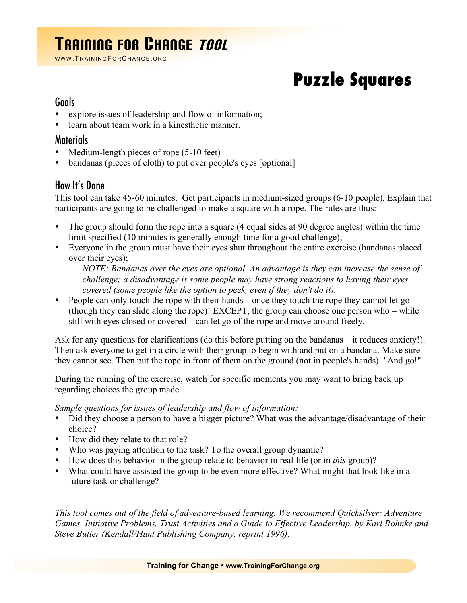## TRAINING FOR CHANGE TOOL

WWW. TRAINING FOR CHANGE. ORG

# **Puzzle Squares**

#### Goals

- explore issues of leadership and flow of information;
- learn about team work in a kinesthetic manner.

#### Materials

- Medium-length pieces of rope (5-10 feet)
- bandanas (pieces of cloth) to put over people's eyes [optional]

### How It's Done

This tool can take 45-60 minutes. Get participants in medium-sized groups (6-10 people). Explain that participants are going to be challenged to make a square with a rope. The rules are thus:

- The group should form the rope into a square (4 equal sides at 90 degree angles) within the time limit specified (10 minutes is generally enough time for a good challenge);
- Everyone in the group must have their eyes shut throughout the entire exercise (bandanas placed over their eyes);

*NOTE: Bandanas over the eyes are optional. An advantage is they can increase the sense of challenge; a disadvantage is some people may have strong reactions to having their eyes covered (some people like the option to peek, even if they don't do it).*

• People can only touch the rope with their hands – once they touch the rope they cannot let go (though they can slide along the rope)! EXCEPT, the group can choose one person who – while still with eyes closed or covered – can let go of the rope and move around freely.

Ask for any questions for clarifications (do this before putting on the bandanas – it reduces anxiety!). Then ask everyone to get in a circle with their group to begin with and put on a bandana. Make sure they cannot see. Then put the rope in front of them on the ground (not in people's hands). "And go!"

During the running of the exercise, watch for specific moments you may want to bring back up regarding choices the group made.

*Sample questions for issues of leadership and flow of information:*

- Did they choose a person to have a bigger picture? What was the advantage/disadvantage of their choice?
- How did they relate to that role?
- Who was paying attention to the task? To the overall group dynamic?
- How does this behavior in the group relate to behavior in real life (or in *this* group)?
- What could have assisted the group to be even more effective? What might that look like in a future task or challenge?

*This tool comes out of the field of adventure-based learning. We recommend Quicksilver: Adventure Games, Initiative Problems, Trust Activities and a Guide to Effective Leadership, by Karl Rohnke and Steve Butter (Kendall/Hunt Publishing Company, reprint 1996).*